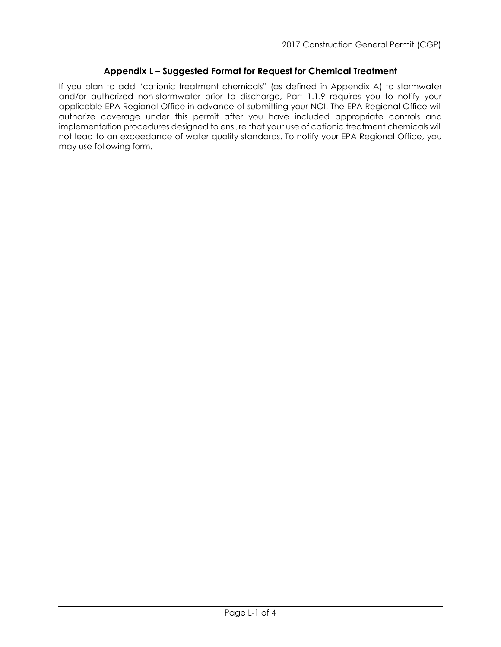## **Appendix L – Suggested Format for Request for Chemical Treatment**

If you plan to add "cationic treatment chemicals" (as defined in Appendix A) to stormwater and/or authorized non-stormwater prior to discharge, Part 1.1.9 requires you to notify your applicable EPA Regional Office in advance of submitting your NOI. The EPA Regional Office will authorize coverage under this permit after you have included appropriate controls and implementation procedures designed to ensure that your use of cationic treatment chemicals will not lead to an exceedance of water quality standards. To notify your EPA Regional Office, you may use following form.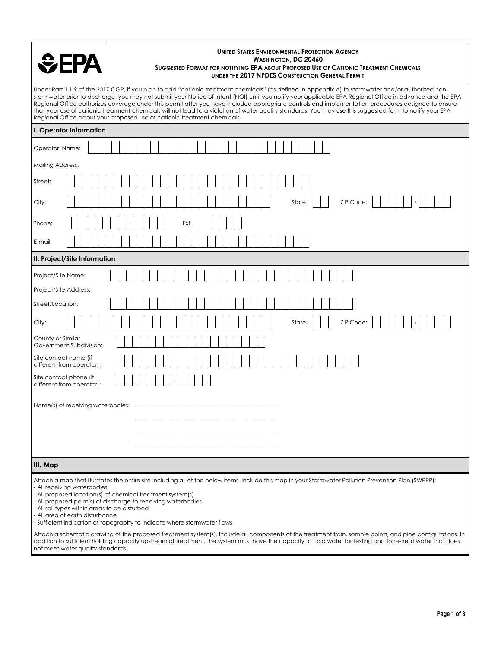

## **UNITED STATES ENVIRONMENTAL PROTECTION AGENCY WASHINGTON, DC 20460 SUGGESTED FORMAT FOR NOTIFYING EPA ABOUT PROPOSED USE OF CATIONIC TREATMENT CHEMICALS UNDER THE 2017 NPDES CONSTRUCTION GENERAL PERMIT**

Under Part 1.1.9 of the 2017 CGP, if you plan to add "cationic treatment chemicals" (as defined in Appendix A) to stormwater and/or authorized nonstormwater prior to discharge, you may not submit your Notice of Intent (NOI) until you notify your applicable EPA Regional Office in advance and the EPA Regional Office authorizes coverage under this permit after you have included appropriate controls and implementation procedures designed to ensure that your use of cationic treatment chemicals will not lead to a violation of water quality standards. You may use this suggested form to notify your EPA Regional Office about your proposed use of cationic treatment chemicals.

| I. Operator Information                             |
|-----------------------------------------------------|
| Operator Name:                                      |
| Mailing Address:                                    |
| Street:                                             |
| ZIP Code:<br>State:<br>City:                        |
| Phone:<br>Ext.                                      |
| E-mail:                                             |
| II. Project/Site Information                        |
| Project/Site Name:                                  |
| Project/Site Address:                               |
| Street/Location:                                    |
| ZIP Code:<br>State:<br>City:                        |
| County or Similar<br>Government Subdivision:        |
| Site contact name (if<br>different from operator):  |
| Site contact phone (if<br>different from operator): |
| Name(s) of receiving waterbodies:                   |
| III. Map                                            |

Attach a map that illustrates the entire site including all of the below items. Include this map in your Stormwater Pollution Prevention Plan (SWPPP): - All receiving waterbodies

- All proposed location(s) of chemical treatment system(s)
- All proposed point(s) of discharge to receiving waterbodies
- All soil types within areas to be disturbed
- All area of earth disturbance

- Sufficient indication of topography to indicate where stormwater flows

Attach a schematic drawing of the proposed treatment system(s). Include all components of the treatment train, sample points, and pipe configurations. In addition to sufficient holding capacity upstream of treatment, the system must have the capacity to hold water for testing and to re-treat water that does not meet water quality standards.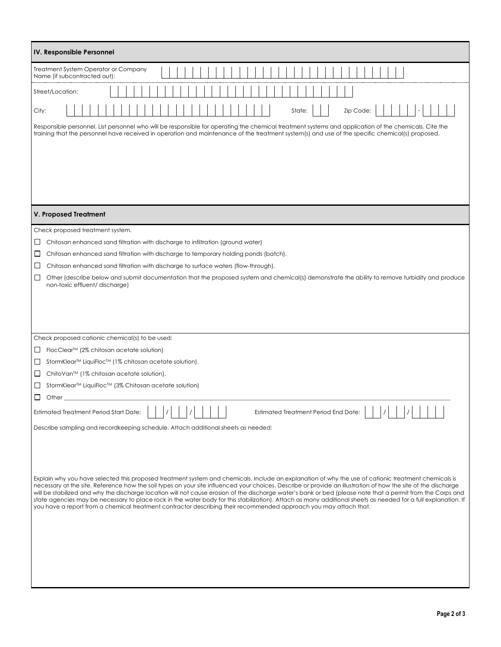| IV. Responsible Personnel                                                                                                                                                                                                                                                                                                     |
|-------------------------------------------------------------------------------------------------------------------------------------------------------------------------------------------------------------------------------------------------------------------------------------------------------------------------------|
| Treatment System Operator or Company<br>Name (if subcontracted out):                                                                                                                                                                                                                                                          |
| Street/Location:                                                                                                                                                                                                                                                                                                              |
| Zip Code:<br>City:<br>State:                                                                                                                                                                                                                                                                                                  |
| Responsible personnel. List personnel who will be responsible for operating the chemical treatment systems and application of the chemicals. Cite the<br>training that the personnel have received in operation and maintenance of the treatment system(s) and use of the specific chemical(s) proposed.                      |
|                                                                                                                                                                                                                                                                                                                               |
|                                                                                                                                                                                                                                                                                                                               |
|                                                                                                                                                                                                                                                                                                                               |
|                                                                                                                                                                                                                                                                                                                               |
| V. Proposed Treatment                                                                                                                                                                                                                                                                                                         |
| Check proposed treatment system.                                                                                                                                                                                                                                                                                              |
| Chitosan enhanced sand filtration with discharge to infiltration (ground water)<br>ப                                                                                                                                                                                                                                          |
| Chitosan enhanced sand filtration with discharge to temporary holding ponds (batch).<br>ப                                                                                                                                                                                                                                     |
| ப<br>Chitosan enhanced sand filtration with discharge to surface waters (flow-through).<br>$\Box$<br>Other (describe below and submit documentation that the proposed system and chemical(s) demonstrate the ability to remove turbidity and produce                                                                          |
| non-toxic effluent/ discharge)                                                                                                                                                                                                                                                                                                |
|                                                                                                                                                                                                                                                                                                                               |
|                                                                                                                                                                                                                                                                                                                               |
|                                                                                                                                                                                                                                                                                                                               |
| Check proposed cationic chemical(s) to be used:                                                                                                                                                                                                                                                                               |
| FlocClear <sup>™</sup> (2% chitosan acetate solution)<br>ப                                                                                                                                                                                                                                                                    |
| StormKlear™ LiquiFloc™ (1% chitosan acetate solution).<br>ப                                                                                                                                                                                                                                                                   |
| ChitoVan™ (1% chitosan acetate solution).<br>ப                                                                                                                                                                                                                                                                                |
| StormKlear <sup>™</sup> LiquiFloc <sup>™</sup> (3% Chitosan acetate solution)<br>ப                                                                                                                                                                                                                                            |
| $\Box$<br>Other                                                                                                                                                                                                                                                                                                               |
| Estimated Treatment Period Start Date:<br>Estimated Treatment Period End Date:                                                                                                                                                                                                                                                |
| Describe sampling and recordkeeping schedule. Attach additional sheets as needed:                                                                                                                                                                                                                                             |
|                                                                                                                                                                                                                                                                                                                               |
|                                                                                                                                                                                                                                                                                                                               |
|                                                                                                                                                                                                                                                                                                                               |
| Explain why you have selected this proposed treatment system and chemicals. Include an explanation of why the use of cationic treatment chemicals is<br>necessary at the site. Reference how the soil types on your site influenced your choices. Describe or provide an illustration of how the site of the discharge        |
| will be stabilized and why the discharge location will not cause erosion of the discharge water's bank or bed (please note that a permit from the Corps and<br>state agencies may be necessary to place rock in the water body for this stabilization). Attach as many additional sheets as needed for a full explanation. If |
| you have a report from a chemical treatment contractor describing their recommended approach you may attach that.                                                                                                                                                                                                             |
|                                                                                                                                                                                                                                                                                                                               |
|                                                                                                                                                                                                                                                                                                                               |
|                                                                                                                                                                                                                                                                                                                               |
|                                                                                                                                                                                                                                                                                                                               |
|                                                                                                                                                                                                                                                                                                                               |
|                                                                                                                                                                                                                                                                                                                               |